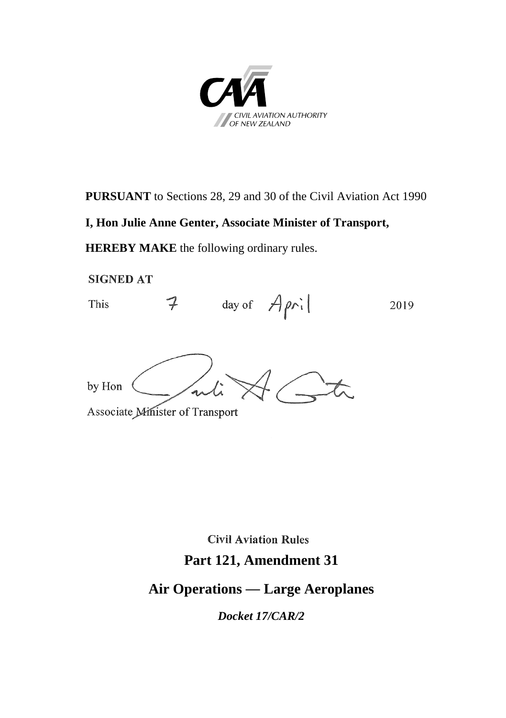

**PURSUANT** to Sections 28, 29 and 30 of the Civil Aviation Act 1990

#### **I, Hon Julie Anne Genter, Associate Minister of Transport,**

**HEREBY MAKE** the following ordinary rules.

**SIGNED AT** 

 $7 \quad \text{day of } \nightharpoonup \nightharpoonup \text{paril}$ This 2019

by Hon

Associate Minister of Transport

**Civil Aviation Rules** 

# **Part 121, Amendment 31**

# **Air Operations** — **Large Aeroplanes**

*Docket 17/CAR/2*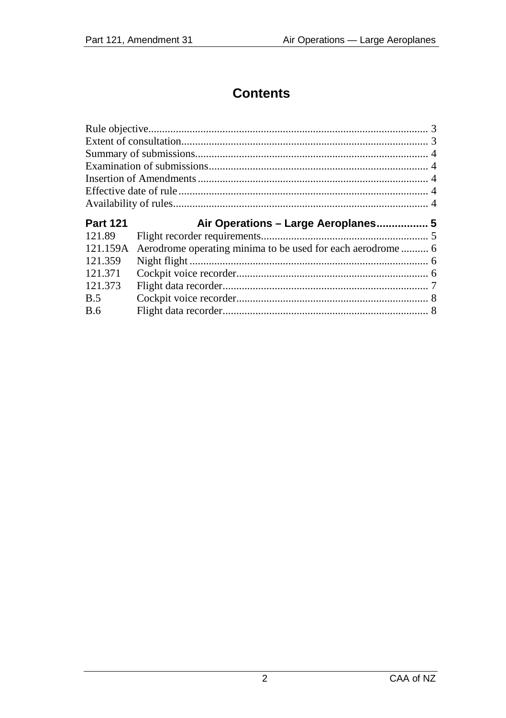# **Contents**

| <b>Part 121</b> | Air Operations – Large Aeroplanes 5 |  |
|-----------------|-------------------------------------|--|
| 121.89          |                                     |  |
| 121.159A        |                                     |  |
| 121.359         |                                     |  |
| 121.371         |                                     |  |
| 121.373         |                                     |  |
| <b>B.5</b>      |                                     |  |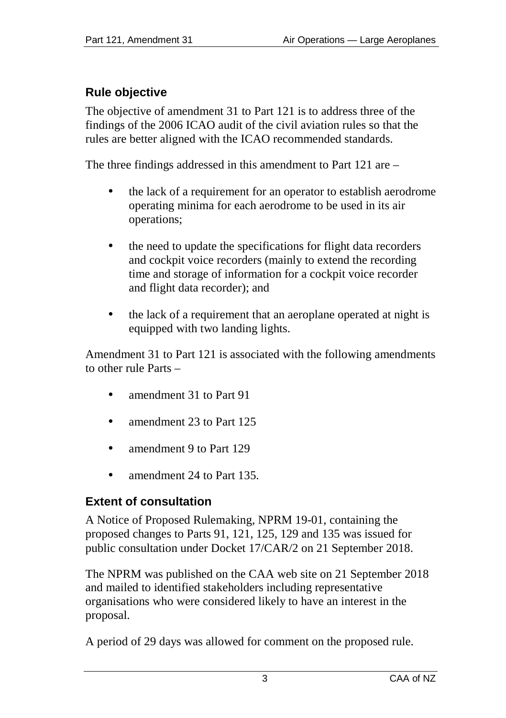# <span id="page-2-0"></span>**Rule objective**

The objective of amendment 31 to Part 121 is to address three of the findings of the 2006 ICAO audit of the civil aviation rules so that the rules are better aligned with the ICAO recommended standards.

The three findings addressed in this amendment to Part 121 are –

- the lack of a requirement for an operator to establish aerodrome operating minima for each aerodrome to be used in its air operations;
- the need to update the specifications for flight data recorders and cockpit voice recorders (mainly to extend the recording time and storage of information for a cockpit voice recorder and flight data recorder); and
- the lack of a requirement that an aeroplane operated at night is equipped with two landing lights.

Amendment 31 to Part 121 is associated with the following amendments to other rule Parts –

- amendment 31 to Part 91
- amendment 23 to Part 125
- amendment 9 to Part 129
- amendment 24 to Part 135.

# <span id="page-2-1"></span>**Extent of consultation**

A Notice of Proposed Rulemaking, NPRM 19-01, containing the proposed changes to Parts 91, 121, 125, 129 and 135 was issued for public consultation under Docket 17/CAR/2 on 21 September 2018.

The NPRM was published on the CAA web site on 21 September 2018 and mailed to identified stakeholders including representative organisations who were considered likely to have an interest in the proposal.

A period of 29 days was allowed for comment on the proposed rule.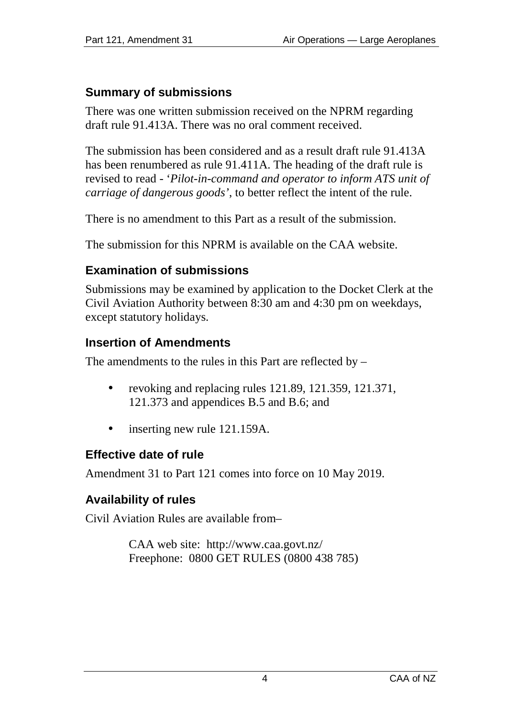# <span id="page-3-0"></span>**Summary of submissions**

There was one written submission received on the NPRM regarding draft rule 91.413A. There was no oral comment received.

The submission has been considered and as a result draft rule 91.413A has been renumbered as rule 91.411A. The heading of the draft rule is revised to read - '*Pilot-in-command and operator to inform ATS unit of carriage of dangerous goods'*, to better reflect the intent of the rule.

There is no amendment to this Part as a result of the submission.

The submission for this NPRM is available on the CAA website.

# <span id="page-3-1"></span>**Examination of submissions**

Submissions may be examined by application to the Docket Clerk at the Civil Aviation Authority between 8:30 am and 4:30 pm on weekdays, except statutory holidays.

# <span id="page-3-2"></span>**Insertion of Amendments**

The amendments to the rules in this Part are reflected by –

- ÷. revoking and replacing rules 121.89, 121.359, 121.371, 121.373 and appendices B.5 and B.6; and
- inserting new rule 121.159A.  $\blacksquare$

# <span id="page-3-3"></span>**Effective date of rule**

Amendment 31 to Part 121 comes into force on 10 May 2019.

# <span id="page-3-4"></span>**Availability of rules**

Civil Aviation Rules are available from–

CAA web site: <http://www.caa.govt.nz/> Freephone: 0800 GET RULES (0800 438 785)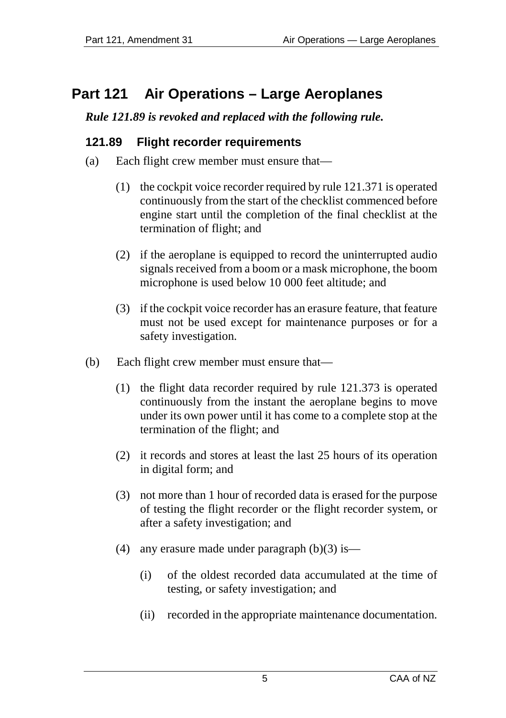# <span id="page-4-0"></span>**Part 121 Air Operations – Large Aeroplanes**

### *Rule 121.89 is revoked and replaced with the following rule.*

### <span id="page-4-1"></span>**121.89 Flight recorder requirements**

- (a) Each flight crew member must ensure that—
	- (1) the cockpit voice recorder required by rule 121.371 is operated continuously from the start of the checklist commenced before engine start until the completion of the final checklist at the termination of flight; and
	- (2) if the aeroplane is equipped to record the uninterrupted audio signals received from a boom or a mask microphone, the boom microphone is used below 10 000 feet altitude; and
	- (3) if the cockpit voice recorder has an erasure feature, that feature must not be used except for maintenance purposes or for a safety investigation.
- (b) Each flight crew member must ensure that—
	- (1) the flight data recorder required by rule 121.373 is operated continuously from the instant the aeroplane begins to move under its own power until it has come to a complete stop at the termination of the flight; and
	- (2) it records and stores at least the last 25 hours of its operation in digital form; and
	- (3) not more than 1 hour of recorded data is erased for the purpose of testing the flight recorder or the flight recorder system, or after a safety investigation; and
	- (4) any erasure made under paragraph  $(b)(3)$  is—
		- (i) of the oldest recorded data accumulated at the time of testing, or safety investigation; and
		- (ii) recorded in the appropriate maintenance documentation.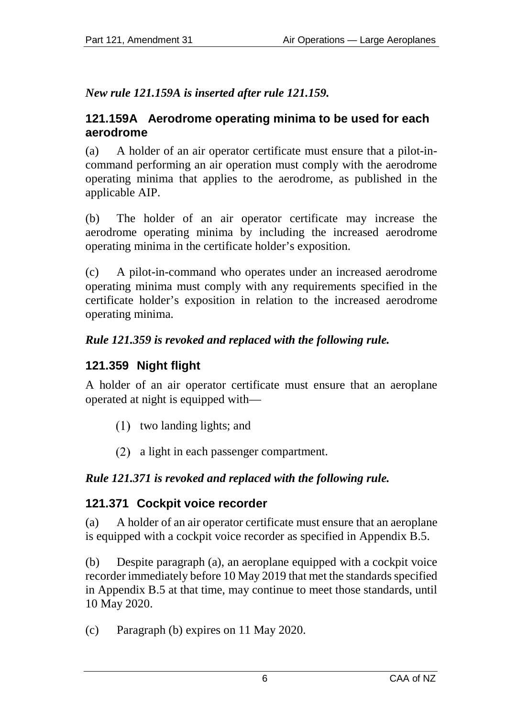### *New rule 121.159A is inserted after rule 121.159.*

#### <span id="page-5-0"></span>**121.159A Aerodrome operating minima to be used for each aerodrome**

(a) A holder of an air operator certificate must ensure that a pilot-incommand performing an air operation must comply with the aerodrome operating minima that applies to the aerodrome, as published in the applicable AIP.

(b) The holder of an air operator certificate may increase the aerodrome operating minima by including the increased aerodrome operating minima in the certificate holder's exposition.

(c) A pilot-in-command who operates under an increased aerodrome operating minima must comply with any requirements specified in the certificate holder's exposition in relation to the increased aerodrome operating minima.

# *Rule 121.359 is revoked and replaced with the following rule.*

# <span id="page-5-1"></span>**121.359 Night flight**

A holder of an air operator certificate must ensure that an aeroplane operated at night is equipped with—

- $(1)$  two landing lights; and
- a light in each passenger compartment.

# *Rule 121.371 is revoked and replaced with the following rule.*

# <span id="page-5-2"></span>**121.371 Cockpit voice recorder**

(a) A holder of an air operator certificate must ensure that an aeroplane is equipped with a cockpit voice recorder as specified in Appendix B.5.

(b) Despite paragraph (a), an aeroplane equipped with a cockpit voice recorder immediately before 10 May 2019 that met the standards specified in Appendix B.5 at that time, may continue to meet those standards, until 10 May 2020.

(c) Paragraph (b) expires on 11 May 2020.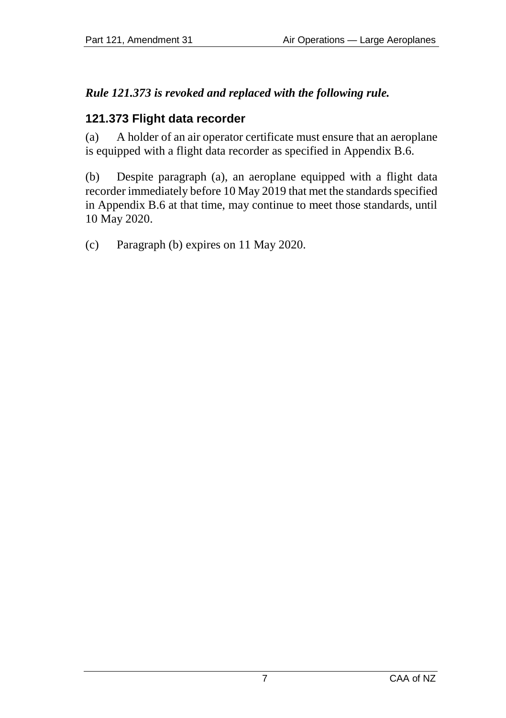# *Rule 121.373 is revoked and replaced with the following rule.*

#### <span id="page-6-0"></span>**121.373 Flight data recorder**

(a) A holder of an air operator certificate must ensure that an aeroplane is equipped with a flight data recorder as specified in Appendix B.6.

(b) Despite paragraph (a), an aeroplane equipped with a flight data recorder immediately before 10 May 2019 that met the standards specified in Appendix B.6 at that time, may continue to meet those standards, until 10 May 2020.

(c) Paragraph (b) expires on 11 May 2020.